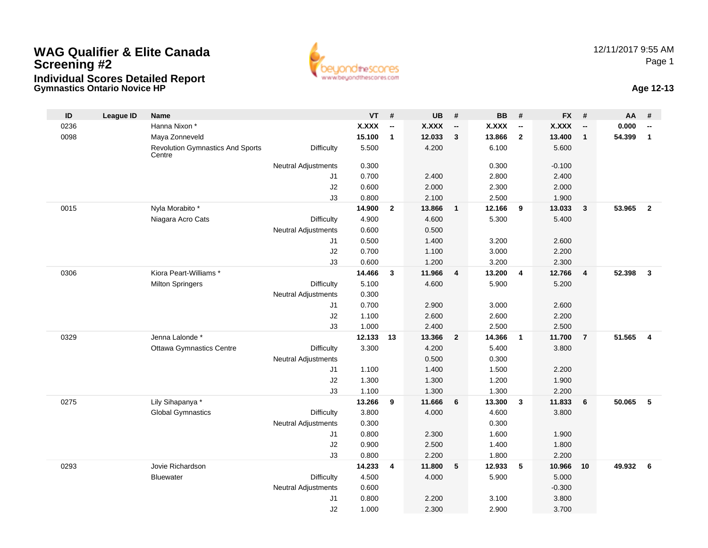## **Gymnastics Ontario Novice HPWAG Qualifier & Elite CanadaScreening #2Individual Scores Detailed Report**





| ID   | <b>League ID</b> | <b>Name</b>                                       |                            | $VT$ #       |                          | <b>UB</b> | #                        | <b>BB</b>    | #                        | <b>FX</b>    | #                        | AA     | #                       |
|------|------------------|---------------------------------------------------|----------------------------|--------------|--------------------------|-----------|--------------------------|--------------|--------------------------|--------------|--------------------------|--------|-------------------------|
| 0236 |                  | Hanna Nixon *                                     |                            | <b>X.XXX</b> | $\overline{\phantom{a}}$ | X.XXX     | $\overline{\phantom{a}}$ | <b>X.XXX</b> | $\overline{\phantom{a}}$ | <b>X.XXX</b> | $\overline{\phantom{a}}$ | 0.000  | --                      |
| 0098 |                  | Maya Zonneveld                                    |                            | 15.100       | $\mathbf{1}$             | 12.033    | 3                        | 13.866       | $\overline{2}$           | 13,400       | $\mathbf{1}$             | 54.399 | $\mathbf{1}$            |
|      |                  | <b>Revolution Gymnastics And Sports</b><br>Centre | <b>Difficulty</b>          | 5.500        |                          | 4.200     |                          | 6.100        |                          | 5.600        |                          |        |                         |
|      |                  |                                                   | Neutral Adjustments        | 0.300        |                          |           |                          | 0.300        |                          | $-0.100$     |                          |        |                         |
|      |                  |                                                   | J1                         | 0.700        |                          | 2.400     |                          | 2.800        |                          | 2.400        |                          |        |                         |
|      |                  |                                                   | J2                         | 0.600        |                          | 2.000     |                          | 2.300        |                          | 2.000        |                          |        |                         |
|      |                  |                                                   | J3                         | 0.800        |                          | 2.100     |                          | 2.500        |                          | 1.900        |                          |        |                         |
| 0015 |                  | Nyla Morabito *                                   |                            | 14.900       | $\mathbf{2}$             | 13.866    | $\mathbf{1}$             | 12.166       | 9                        | 13.033       | $\mathbf{3}$             | 53.965 | $\overline{2}$          |
|      |                  | Niagara Acro Cats                                 | <b>Difficulty</b>          | 4.900        |                          | 4.600     |                          | 5.300        |                          | 5.400        |                          |        |                         |
|      |                  |                                                   | <b>Neutral Adjustments</b> | 0.600        |                          | 0.500     |                          |              |                          |              |                          |        |                         |
|      |                  |                                                   | J1                         | 0.500        |                          | 1.400     |                          | 3.200        |                          | 2.600        |                          |        |                         |
|      |                  |                                                   | J2                         | 0.700        |                          | 1.100     |                          | 3.000        |                          | 2.200        |                          |        |                         |
|      |                  |                                                   | J3                         | 0.600        |                          | 1.200     |                          | 3.200        |                          | 2.300        |                          |        |                         |
| 0306 |                  | Kiora Peart-Williams *                            |                            | 14.466       | 3                        | 11.966    | $\overline{4}$           | 13.200       | $\overline{4}$           | 12.766       | $\overline{4}$           | 52.398 | $\mathbf{3}$            |
|      |                  | <b>Milton Springers</b>                           | <b>Difficulty</b>          | 5.100        |                          | 4.600     |                          | 5.900        |                          | 5.200        |                          |        |                         |
|      |                  |                                                   | <b>Neutral Adjustments</b> | 0.300        |                          |           |                          |              |                          |              |                          |        |                         |
|      |                  |                                                   | J1                         | 0.700        |                          | 2.900     |                          | 3.000        |                          | 2.600        |                          |        |                         |
|      |                  |                                                   | J2                         | 1.100        |                          | 2.600     |                          | 2.600        |                          | 2.200        |                          |        |                         |
|      |                  |                                                   | J3                         | 1.000        |                          | 2.400     |                          | 2.500        |                          | 2.500        |                          |        |                         |
| 0329 |                  | Jenna Lalonde *                                   |                            | 12.133       | 13                       | 13.366    | $\overline{2}$           | 14.366       | $\mathbf{1}$             | 11.700       | $\overline{7}$           | 51.565 | $\overline{\mathbf{4}}$ |
|      |                  | <b>Ottawa Gymnastics Centre</b>                   | <b>Difficulty</b>          | 3.300        |                          | 4.200     |                          | 5.400        |                          | 3.800        |                          |        |                         |
|      |                  |                                                   | <b>Neutral Adjustments</b> |              |                          | 0.500     |                          | 0.300        |                          |              |                          |        |                         |
|      |                  |                                                   | J1                         | 1.100        |                          | 1.400     |                          | 1.500        |                          | 2.200        |                          |        |                         |
|      |                  |                                                   | J2                         | 1.300        |                          | 1.300     |                          | 1.200        |                          | 1.900        |                          |        |                         |
|      |                  |                                                   | J3                         | 1.100        |                          | 1.300     |                          | 1.300        |                          | 2.200        |                          |        |                         |
| 0275 |                  | Lily Sihapanya *                                  |                            | 13.266       | 9                        | 11.666    | 6                        | 13.300       | $\mathbf{3}$             | 11.833       | 6                        | 50.065 | 5                       |
|      |                  | <b>Global Gymnastics</b>                          | <b>Difficulty</b>          | 3.800        |                          | 4.000     |                          | 4.600        |                          | 3.800        |                          |        |                         |
|      |                  |                                                   | <b>Neutral Adjustments</b> | 0.300        |                          |           |                          | 0.300        |                          |              |                          |        |                         |
|      |                  |                                                   | J1                         | 0.800        |                          | 2.300     |                          | 1.600        |                          | 1.900        |                          |        |                         |
|      |                  |                                                   | J2                         | 0.900        |                          | 2.500     |                          | 1.400        |                          | 1.800        |                          |        |                         |
|      |                  |                                                   | J3                         | 0.800        |                          | 2.200     |                          | 1.800        |                          | 2.200        |                          |        |                         |
| 0293 |                  | Jovie Richardson                                  |                            | 14.233       | 4                        | 11.800    | 5                        | 12.933       | -5                       | 10.966       | 10                       | 49.932 | 6                       |
|      |                  | <b>Bluewater</b>                                  | <b>Difficulty</b>          | 4.500        |                          | 4.000     |                          | 5.900        |                          | 5.000        |                          |        |                         |
|      |                  |                                                   | <b>Neutral Adjustments</b> | 0.600        |                          |           |                          |              |                          | $-0.300$     |                          |        |                         |
|      |                  |                                                   | J1                         | 0.800        |                          | 2.200     |                          | 3.100        |                          | 3.800        |                          |        |                         |
|      |                  |                                                   | J2                         | 1.000        |                          | 2.300     |                          | 2.900        |                          | 3.700        |                          |        |                         |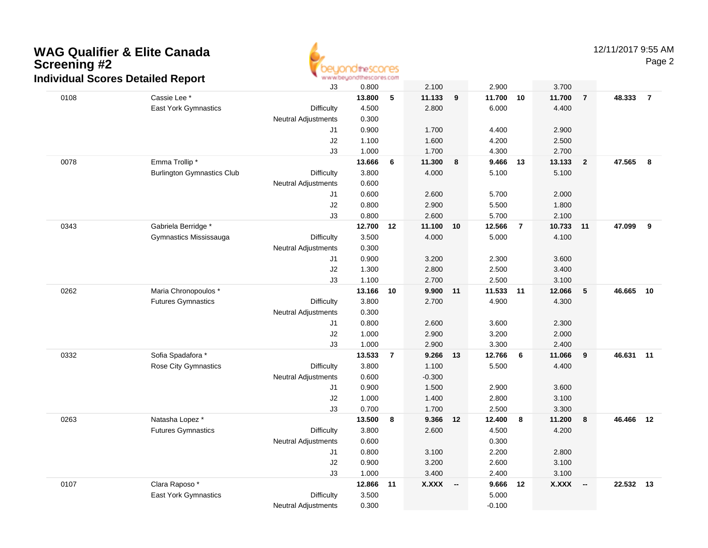## **WAG Qualifier & Elite CanadaScreening #2 Individual Scores Detailed Report**



Page 2

|      | iurviuuai Scores Detaileu Report  | J3                         | 0.800           |                | 2.100          |                          | 2.900           |                | 3.700           |                          |           |                |
|------|-----------------------------------|----------------------------|-----------------|----------------|----------------|--------------------------|-----------------|----------------|-----------------|--------------------------|-----------|----------------|
| 0108 | Cassie Lee *                      |                            | 13.800          | 5              | 11.133         | $\boldsymbol{9}$         | 11.700          | 10             | 11.700          | $\overline{7}$           | 48.333    | $\overline{7}$ |
|      | East York Gymnastics              | Difficulty                 | 4.500           |                | 2.800          |                          | 6.000           |                | 4.400           |                          |           |                |
|      |                                   | <b>Neutral Adjustments</b> | 0.300           |                |                |                          |                 |                |                 |                          |           |                |
|      |                                   | J1                         | 0.900           |                | 1.700          |                          | 4.400           |                | 2.900           |                          |           |                |
|      |                                   | J2                         | 1.100           |                | 1.600          |                          | 4.200           |                | 2.500           |                          |           |                |
|      |                                   | J3                         | 1.000           |                | 1.700          |                          | 4.300           |                | 2.700           |                          |           |                |
| 0078 | Emma Trollip*                     |                            | 13.666          | 6              | 11.300         | 8                        | 9.466           | 13             | 13.133          | $\overline{2}$           | 47.565    | 8              |
|      | <b>Burlington Gymnastics Club</b> | Difficulty                 | 3.800           |                | 4.000          |                          | 5.100           |                | 5.100           |                          |           |                |
|      |                                   | <b>Neutral Adjustments</b> | 0.600           |                |                |                          |                 |                |                 |                          |           |                |
|      |                                   | J1                         | 0.600           |                | 2.600          |                          | 5.700           |                | 2.000           |                          |           |                |
|      |                                   | J2                         | 0.800           |                | 2.900          |                          | 5.500           |                | 1.800           |                          |           |                |
|      |                                   | J3                         | 0.800           |                | 2.600          |                          | 5.700           |                | 2.100           |                          |           |                |
| 0343 | Gabriela Berridge *               |                            | 12.700          | 12             | 11.100 10      |                          | 12.566          | $\overline{7}$ | 10.733          | 11                       | 47.099    | 9              |
|      | Gymnastics Mississauga            | Difficulty                 | 3.500           |                | 4.000          |                          | 5.000           |                | 4.100           |                          |           |                |
|      |                                   | <b>Neutral Adjustments</b> | 0.300           |                |                |                          |                 |                |                 |                          |           |                |
|      |                                   | J1                         | 0.900           |                | 3.200          |                          | 2.300           |                | 3.600           |                          |           |                |
|      |                                   | J2                         | 1.300           |                | 2.800          |                          | 2.500           |                | 3.400           |                          |           |                |
|      |                                   | J3                         | 1.100           |                | 2.700          |                          | 2.500           |                | 3.100           |                          |           |                |
| 0262 | Maria Chronopoulos *              |                            | 13.166          | 10             | 9.900          | 11                       | 11.533          | 11             | 12.066          | $5\phantom{.0}$          | 46.665    | 10             |
|      | <b>Futures Gymnastics</b>         | Difficulty                 | 3.800           |                | 2.700          |                          | 4.900           |                | 4.300           |                          |           |                |
|      |                                   | <b>Neutral Adjustments</b> | 0.300           |                |                |                          |                 |                |                 |                          |           |                |
|      |                                   | J <sub>1</sub>             | 0.800           |                | 2.600          |                          | 3.600           |                | 2.300           |                          |           |                |
|      |                                   | J2                         | 1.000           |                | 2.900          |                          | 3.200           |                | 2.000           |                          |           |                |
| 0332 | Sofia Spadafora *                 | J3                         | 1.000<br>13.533 |                | 2.900<br>9.266 |                          | 3.300<br>12.766 |                | 2.400           |                          |           | 11             |
|      | <b>Rose City Gymnastics</b>       | <b>Difficulty</b>          | 3.800           | $\overline{7}$ | 1.100          | 13                       | 5.500           | 6              | 11.066<br>4.400 | 9                        | 46.631    |                |
|      |                                   | <b>Neutral Adjustments</b> | 0.600           |                | $-0.300$       |                          |                 |                |                 |                          |           |                |
|      |                                   | J1                         | 0.900           |                | 1.500          |                          | 2.900           |                | 3.600           |                          |           |                |
|      |                                   | $\sf J2$                   | 1.000           |                | 1.400          |                          | 2.800           |                | 3.100           |                          |           |                |
|      |                                   | J3                         | 0.700           |                | 1.700          |                          | 2.500           |                | 3.300           |                          |           |                |
| 0263 | Natasha Lopez *                   |                            | 13.500          | 8              | 9.366          | 12                       | 12.400          | $\bf{8}$       | 11.200          | 8                        | 46.466 12 |                |
|      | <b>Futures Gymnastics</b>         | Difficulty                 | 3.800           |                | 2.600          |                          | 4.500           |                | 4.200           |                          |           |                |
|      |                                   | <b>Neutral Adjustments</b> | 0.600           |                |                |                          | 0.300           |                |                 |                          |           |                |
|      |                                   | J1                         | 0.800           |                | 3.100          |                          | 2.200           |                | 2.800           |                          |           |                |
|      |                                   | $\sf J2$                   | 0.900           |                | 3.200          |                          | 2.600           |                | 3.100           |                          |           |                |
|      |                                   | J3                         | 1.000           |                | 3.400          |                          | 2.400           |                | 3.100           |                          |           |                |
| 0107 | Clara Raposo*                     |                            | 12.866          | 11             | <b>X.XXX</b>   | $\overline{\phantom{a}}$ | 9.666           | 12             | <b>X.XXX</b>    | $\overline{\phantom{a}}$ | 22.532    | 13             |
|      | East York Gymnastics              | Difficulty                 | 3.500           |                |                |                          | 5.000           |                |                 |                          |           |                |
|      |                                   | <b>Neutral Adjustments</b> | 0.300           |                |                |                          | $-0.100$        |                |                 |                          |           |                |
|      |                                   |                            |                 |                |                |                          |                 |                |                 |                          |           |                |